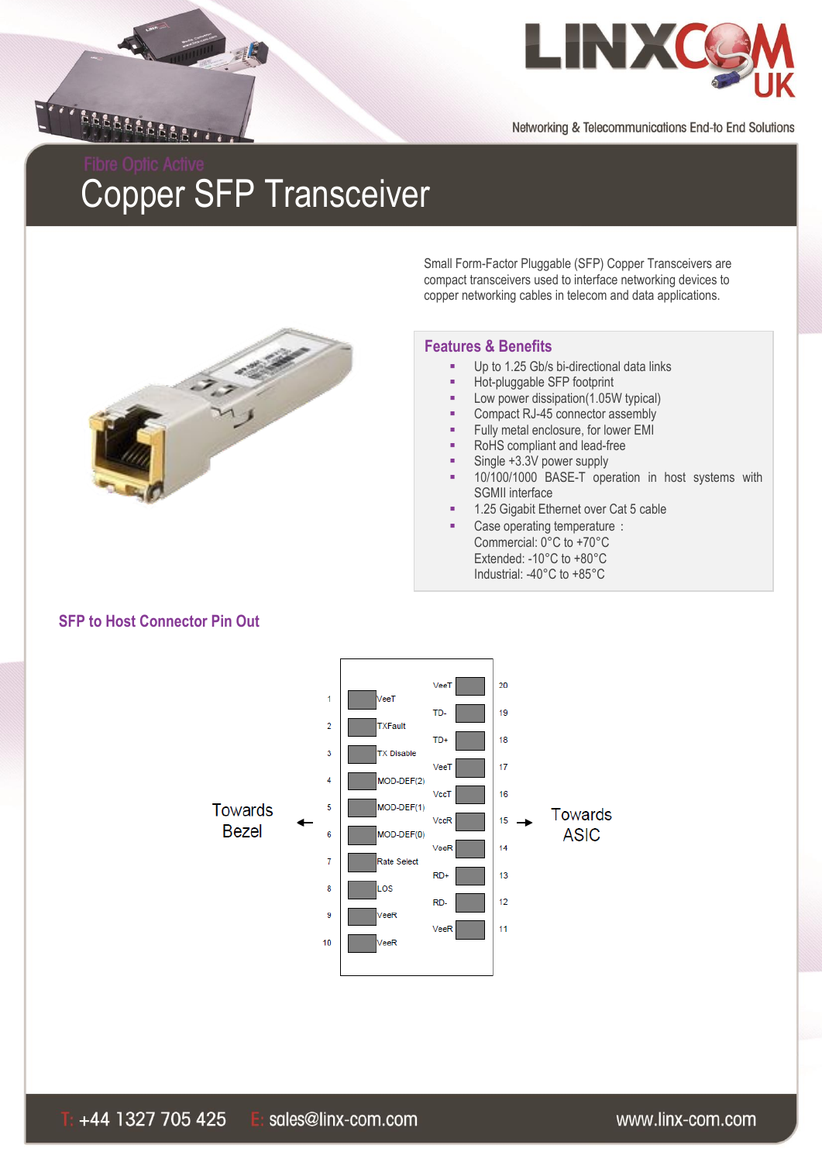



# Copper SFP Transceiver



Small Form-Factor Pluggable (SFP) Copper Transceivers are compact transceivers used to interface networking devices to copper networking cables in telecom and data applications.

#### **Features & Benefits**

- Up to 1.25 Gb/s bi-directional data links
- **Hot-pluggable SFP footprint**
- Low power dissipation(1.05W typical)
- Compact RJ-45 connector assembly
- Fully metal enclosure, for lower EMI
- RoHS compliant and lead-free
- Single +3.3V power supply
- 10/100/1000 BASE-T operation in host systems with SGMII interface
- 1.25 Gigabit Ethernet over Cat 5 cable
- Case operating temperature: Commercial: 0°C to +70°C Extended: -10°C to +80°C Industrial: -40°C to +85°C



# **SFP to Host Connector Pin Out**

#### www.linx-com.com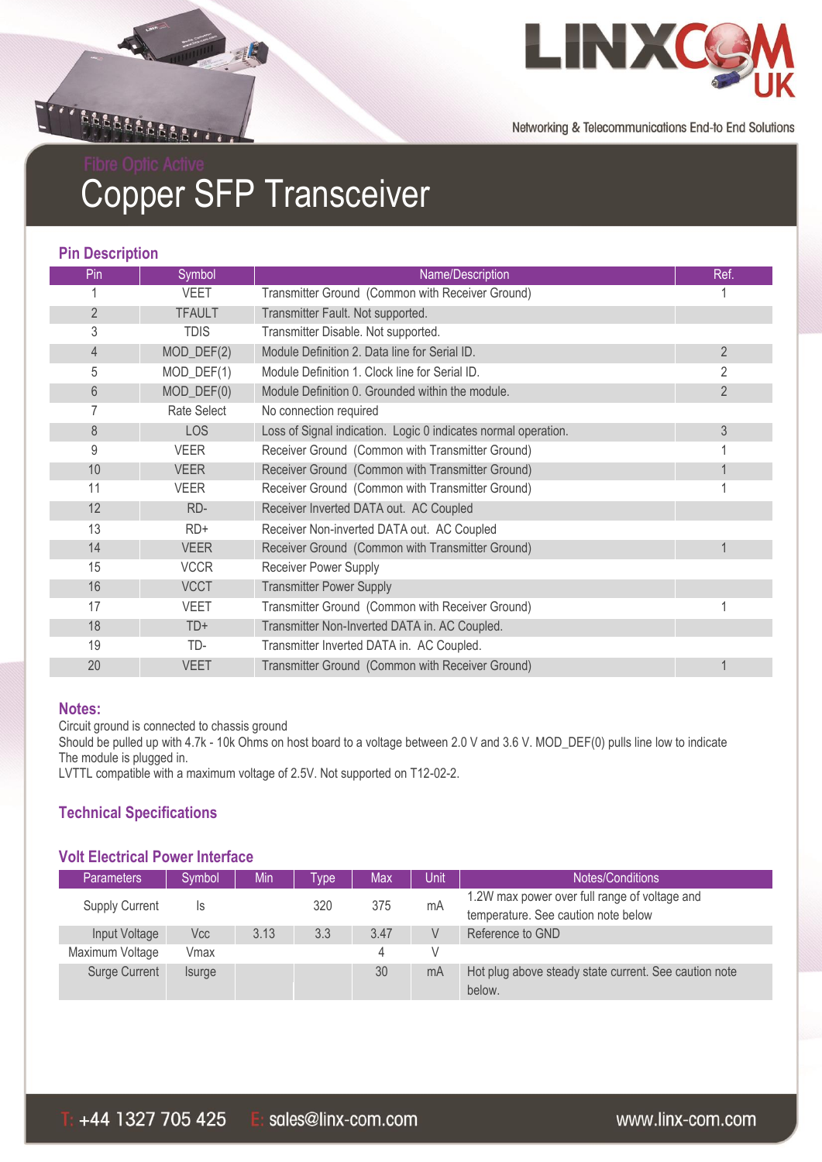



# Copper SFP Transceiver

#### **Pin Description**

| Pin            | Symbol        | Name/Description                                               | Ref.           |
|----------------|---------------|----------------------------------------------------------------|----------------|
|                | <b>VEET</b>   | Transmitter Ground (Common with Receiver Ground)               |                |
| $\overline{2}$ | <b>TFAULT</b> | Transmitter Fault. Not supported.                              |                |
| 3              | <b>TDIS</b>   | Transmitter Disable. Not supported.                            |                |
| 4              | $MOD_DEF(2)$  | Module Definition 2. Data line for Serial ID.                  | $\overline{2}$ |
| 5              | MOD_DEF(1)    | Module Definition 1. Clock line for Serial ID.                 | 2              |
| 6              | $MOD_DEF(0)$  | Module Definition 0. Grounded within the module.               | $\overline{2}$ |
|                | Rate Select   | No connection required                                         |                |
| 8              | <b>LOS</b>    | Loss of Signal indication. Logic 0 indicates normal operation. | 3              |
| 9              | <b>VEER</b>   | Receiver Ground (Common with Transmitter Ground)               |                |
| 10             | <b>VEER</b>   | Receiver Ground (Common with Transmitter Ground)               |                |
| 11             | <b>VEER</b>   | Receiver Ground (Common with Transmitter Ground)               |                |
| 12             | RD-           | Receiver Inverted DATA out. AC Coupled                         |                |
| 13             | $RD+$         | Receiver Non-inverted DATA out. AC Coupled                     |                |
| 14             | <b>VEER</b>   | Receiver Ground (Common with Transmitter Ground)               |                |
| 15             | <b>VCCR</b>   | <b>Receiver Power Supply</b>                                   |                |
| 16             | <b>VCCT</b>   | <b>Transmitter Power Supply</b>                                |                |
| 17             | <b>VEET</b>   | Transmitter Ground (Common with Receiver Ground)               |                |
| 18             | $TD+$         | Transmitter Non-Inverted DATA in. AC Coupled.                  |                |
| 19             | TD-           | Transmitter Inverted DATA in. AC Coupled.                      |                |
| 20             | <b>VEET</b>   | Transmitter Ground (Common with Receiver Ground)               |                |

#### **Notes:**

Circuit ground is connected to chassis ground

Should be pulled up with 4.7k - 10k Ohms on host board to a voltage between 2.0 V and 3.6 V. MOD\_DEF(0) pulls line low to indicate The module is plugged in.

LVTTL compatible with a maximum voltage of 2.5V. Not supported on T12-02-2.

# **Technical Specifications**

#### **Volt Electrical Power Interface**

| <b>Parameters</b>     | Symbol        | Min  | vpe | Max  | Unit | Notes/Conditions                                      |
|-----------------------|---------------|------|-----|------|------|-------------------------------------------------------|
| <b>Supply Current</b> | ls            |      | 320 | 375  | mA   | 1.2W max power over full range of voltage and         |
|                       |               |      |     |      |      | temperature. See caution note below                   |
| Input Voltage         | Vcc           | 3.13 | 3.3 | 3.47 |      | Reference to GND                                      |
| Maximum Voltage       | Vmax          |      |     | 4    |      |                                                       |
| Surge Current         | <i>Isurge</i> |      |     | 30   | mA   | Hot plug above steady state current. See caution note |
|                       |               |      |     |      |      | below.                                                |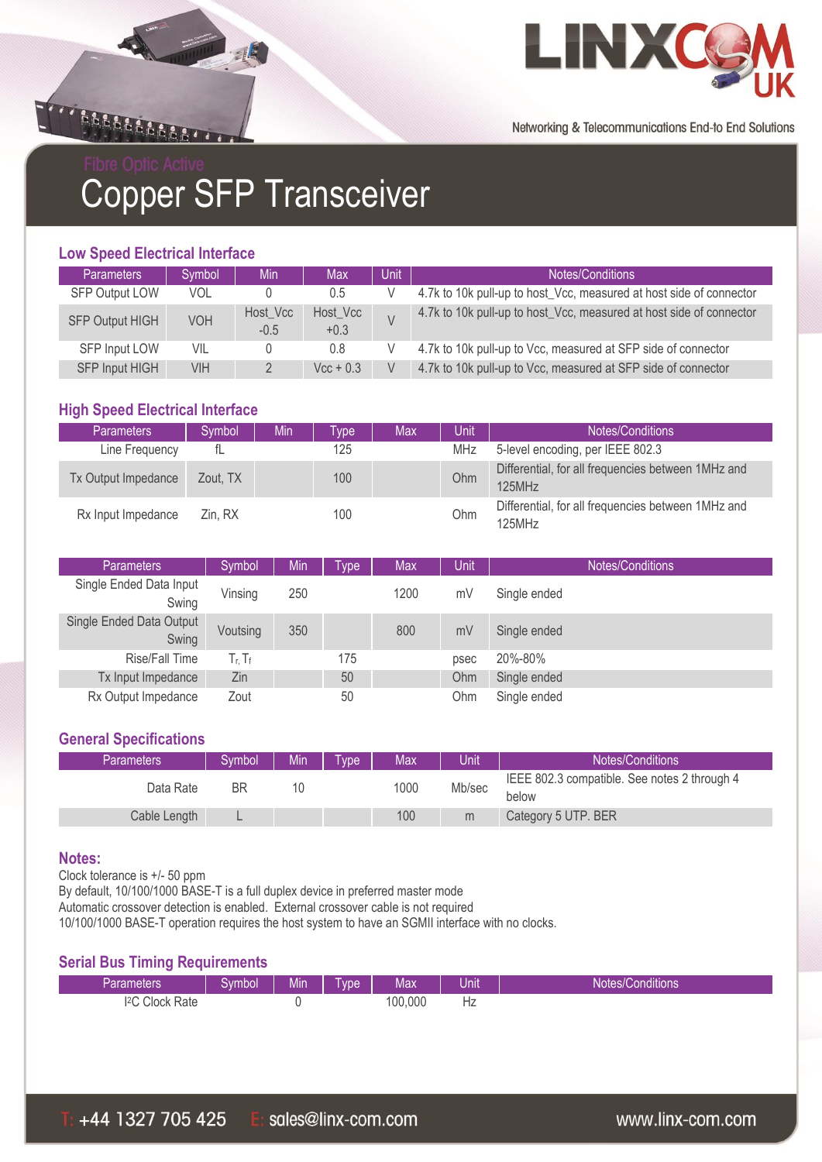



Copper SFP Transceiver

### **Low Speed Electrical Interface**

| <b>Parameters</b>      | Symbol     | <b>Min</b>         | <b>Max</b>         | Unit | Notes/Conditions                                                    |
|------------------------|------------|--------------------|--------------------|------|---------------------------------------------------------------------|
| <b>SFP Output LOW</b>  | <b>VOL</b> |                    | 0.5                |      | 4.7k to 10k pull-up to host_Vcc, measured at host side of connector |
| <b>SFP Output HIGH</b> | VOH        | Host_Vcc<br>$-0.5$ | Host_Vcc<br>$+0.3$ |      | 4.7k to 10k pull-up to host_Vcc, measured at host side of connector |
| SFP Input LOW          | VIL        |                    | 0.8                |      | 4.7k to 10k pull-up to Vcc, measured at SFP side of connector       |
| <b>SFP Input HIGH</b>  | VIH        |                    | $Vec + 0.3$        |      | 4.7k to 10k pull-up to Vcc, measured at SFP side of connector       |

### **High Speed Electrical Interface**

| <b>Parameters</b>   | Symbol   | Min | vpe | Max | Unit       | Notes/Conditions                                             |
|---------------------|----------|-----|-----|-----|------------|--------------------------------------------------------------|
| Line Frequency      |          |     | 125 |     | <b>MHz</b> | 5-level encoding, per IEEE 802.3                             |
| Tx Output Impedance | Zout. TX |     | 100 |     | Ohm        | Differential, for all frequencies between 1MHz and<br>125MHz |
| Rx Input Impedance  | Zin. RX  |     | 100 |     | Ohm        | Differential, for all frequencies between 1MHz and<br>125MHz |

| <b>Parameters</b>                 | Symbol                    | Min | Type | Max  | Unit | Notes/Conditions |
|-----------------------------------|---------------------------|-----|------|------|------|------------------|
| Single Ended Data Input<br>Swing  | Vinsing                   | 250 |      | 1200 | mV   | Single ended     |
| Single Ended Data Output<br>Swing | Voutsing                  | 350 |      | 800  | mV   | Single ended     |
| Rise/Fall Time                    | $T_{\rm f}$ , $T_{\rm f}$ |     | 175  |      | psec | 20%-80%          |
| Tx Input Impedance                | Zin                       |     | 50   |      | Ohm  | Single ended     |
| Rx Output Impedance               | Zout                      |     | 50   |      | Ohm  | Single ended     |

#### **General Specifications**

| Parameters   | Svmbol | Min. | Tvpe' | Max  | Unit   | Notes/Conditions                             |
|--------------|--------|------|-------|------|--------|----------------------------------------------|
| Data Rate    | ΒR     |      |       | 1000 | Mb/sec | IEEE 802.3 compatible. See notes 2 through 4 |
|              |        |      |       |      |        | below                                        |
| Cable Length |        |      |       | 100  | m      | Category 5 UTP. BER                          |

#### **Notes:**

Clock tolerance is +/- 50 ppm

By default, 10/100/1000 BASE-T is a full duplex device in preferred master mode

Automatic crossover detection is enabled. External crossover cable is not required

10/100/1000 BASE-T operation requires the host system to have an SGMII interface with no clocks.

#### **Serial Bus Timing Requirements**

| Parameters'                         | √∖∕n<br>nbol | .<br>Mın | <b>vpe</b> | Max    | .<br>Jnıt | <b><i><u>ALCOHOL: 2006</u></i></b><br>Conditions<br>Notes/0 |
|-------------------------------------|--------------|----------|------------|--------|-----------|-------------------------------------------------------------|
| 12C<br>Clock<br>Rate<br>$U^{\perp}$ |              |          |            | 00,000 | Hz        |                                                             |